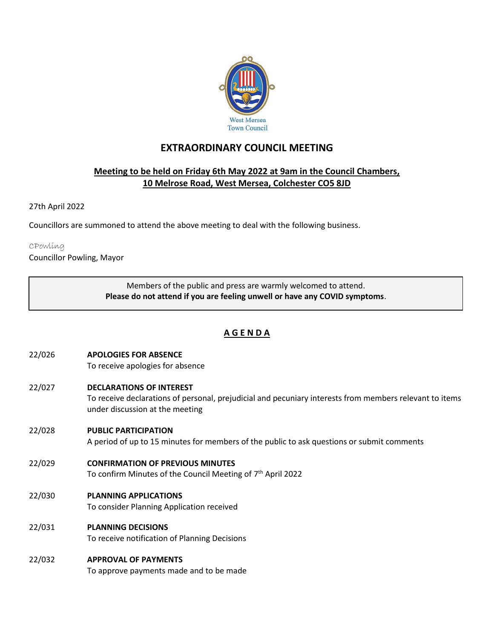

# **EXTRAORDINARY COUNCIL MEETING**

## **Meeting to be held on Friday 6th May 2022 at 9am in the Council Chambers, 10 Melrose Road, West Mersea, Colchester CO5 8JD**

#### 27th April 2022

Councillors are summoned to attend the above meeting to deal with the following business.

#### CPowling

Councillor Powling, Mayor

Members of the public and press are warmly welcomed to attend. **Please do not attend if you are feeling unwell or have any COVID symptoms**.

# **A G E N D A**

# 22/026 **APOLOGIES FOR ABSENCE**

To receive apologies for absence

#### 22/027 **DECLARATIONS OF INTEREST**

To receive declarations of personal, prejudicial and pecuniary interests from members relevant to items under discussion at the meeting

#### 22/028 **PUBLIC PARTICIPATION**

A period of up to 15 minutes for members of the public to ask questions or submit comments

#### 22/029 **CONFIRMATION OF PREVIOUS MINUTES**

To confirm Minutes of the Council Meeting of 7<sup>th</sup> April 2022

#### 22/030 **PLANNING APPLICATIONS**

To consider Planning Application received

## 22/031 **PLANNING DECISIONS**

To receive notification of Planning Decisions

## 22/032 **APPROVAL OF PAYMENTS**

To approve payments made and to be made